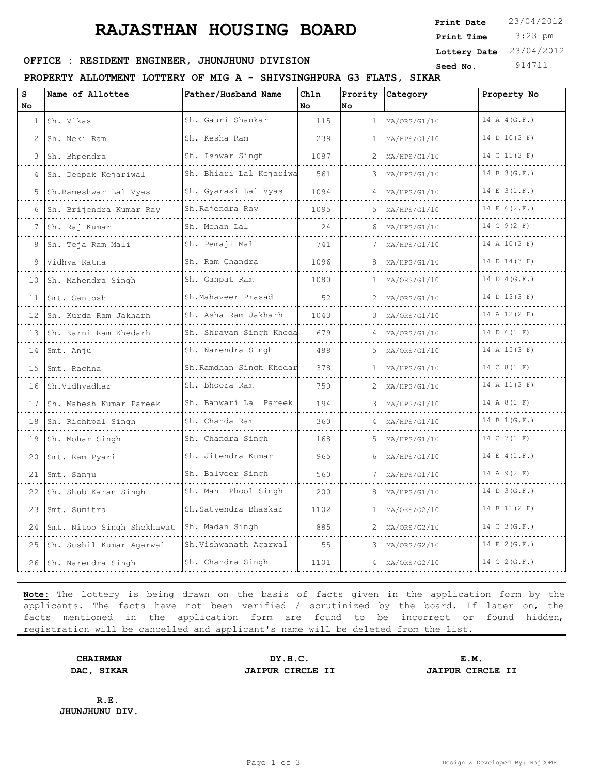# **RAJASTHAN HOUSING BOARD**

 3:23 pm **Print Date**  $23/04/2012$ **Print Time Lottery Date** 23/04/2012

## **SEED OFFICE : RESIDENT ENGINEER, JHUNJHUNU DIVISION Seed No.** 914711

### **PROPERTY ALLOTMENT LOTTERY OF MIG A - SHIVSINGHPURA G3 FLATS, SIKAR**

| s            | Name of Allottee           | Father/Husband Name        | Chln | Prority      | Category     | Property No    |
|--------------|----------------------------|----------------------------|------|--------------|--------------|----------------|
| No           |                            |                            | No   | No           |              |                |
| $\mathbf{1}$ | Sh. Vikas                  | Sh. Gauri Shankar          | 115  | $\mathbf{1}$ | MA/ORS/G1/10 | 14 A 4 (G.F.)  |
| 2            | Sh. Neki Ram               | Sh. Kesha Ram              | 239  | 1            | MA/HPS/G1/10 | 14 D 10(2 F)   |
| 3            | Sh. Bhpendra               | Sh. Ishwar Singh           | 1087 | 2            | MA/HPS/G1/10 | 14 C 11(2 F)   |
| 4            | Sh. Deepak Kejariwal       | Sh. Bhiari Lal Kejariwa    | 561  |              | MA/HPS/G1/10 | 14 B 3 (G.F.)  |
| 5            | Sh.Rameshwar Lal Vyas<br>. | Sh. Gyarasi Lal Vyas       | 1094 | 4            | MA/HPS/G1/10 | 14 E 3(1.F.)   |
| 6            | Sh. Brijendra Kumar Ray    | Sh.Rajendra Ray            | 1095 | 5.           | MA/HPS/G1/10 | 14 E 6(2.F.)   |
| 7            | Sh. Raj Kumar              | Sh. Mohan Lal              | 24   | 6            | MA/HPS/G1/10 | 14 C 9(2 F)    |
| 8            | Sh. Teja Ram Mali<br>.     | Sh. Pemaji Mali            | 741  | 7            | MA/HPS/G1/10 | 14 A 10(2 F)   |
| 9            | Vidhya Ratna               | Sh. Ram Chandra            | 1096 | 8            | MA/HPS/G1/10 | 14 D 14(3 F)   |
| 10           | Sh. Mahendra Singh         | Sh. Ganpat Ram             | 1080 | 1            | MA/ORS/G1/10 | 14 D 4 (G.F.)  |
| 11           | Smt. Santosh               | Sh.Mahaveer Prasad         | 52   | 2            | MA/ORS/G1/10 | 14 D 13(3 F)   |
| 12           | Sh. Kurda Ram Jakharh<br>. | Sh. Asha Ram Jakharh       | 1043 | 3            | MA/ORS/G1/10 | 14 A 12(2 F)   |
| 13           | Sh. Karni Ram Khedarh      | Sh. Shravan Singh Kheda    | 679  |              | MA/ORS/G1/10 | 14 D 6(1 F)    |
| 14           | Smt. Anju<br>.             | Sh. Narendra Singh         | 488  | 5            | MA/ORS/G1/10 | 14 A 15(3 F)   |
| 15           | Smt. Rachna                | Sh.Ramdhan Singh Khedar    | 378  | 1            | MA/HPS/G1/10 | 14 C 8 (1 F)   |
| 16           | Sh.Vidhyadhar              | Sh. Bhoora Ram<br><u>.</u> | 750  | 2            | MA/HPS/G1/10 | 14 A 11(2 F)   |
| 17           | Sh. Mahesh Kumar Pareek    | Sh. Banwari Lal Pareek     | 194  | 3            | MA/HPS/G1/10 | 14 A 8 (1 F)   |
| 18           | Sh. Richhpal Singh         | Sh. Chanda Ram             | 360  | 4            | MA/HPS/G1/10 | 14 B 1 (G.F.)  |
| 19           | Sh. Mohar Singh            | Sh. Chandra Singh          | 168  | 5            | MA/HPS/G1/10 | 14 C 7 (1 F)   |
| 20           | Smt. Ram Pyari             | Sh. Jitendra Kumar         | 965  | 6            | MA/HPS/G1/10 | 14 E 4(1.F.)   |
| 21           | Smt. Sanju                 | Sh. Balveer Singh          | 560  |              | MA/HPS/G1/10 | 14 A 9(2 F)    |
| 22           | Sh. Shub Karan Singh       | Sh. Man Phool Singh        | 200  | 8            | MA/HPS/G1/10 | 14 D 3 (G.F.)  |
| 23           | Smt. Sumitra               | Sh. Satyendra Bhaskar      | 1102 | $\mathbf{1}$ | MA/ORS/G2/10 | 14 B 11(2 F)   |
| 24           | Smt. Nitoo Singh Shekhawat | Sh. Madan Singh            | 885  | 2            | MA/ORS/G2/10 | 14 C 3 (G.F.)  |
| 25           | Sh. Sushil Kumar Agarwal   | Sh.Vishwanath Agarwal      | 55   | 3            | MA/ORS/G2/10 | 14 E 2 (G.F.)  |
| 26           | Sh. Narendra Singh         | Sh. Chandra Singh          | 1101 | 4            | MA/ORS/G2/10 | 14 C $2(G.F.)$ |

**Note:** The lottery is being drawn on the basis of facts given in the application form by the applicants. The facts have not been verified / scrutinized by the board. If later on, the facts mentioned in the application form are found to be incorrect or found hidden, registration will be cancelled and applicant's name will be deleted from the list.

**CHAIRMAN DY.H.C. E.M. DAC, SIKAR JAIPUR CIRCLE II JAIPUR CIRCLE II**

**R.E. JHUNJHUNU DIV.**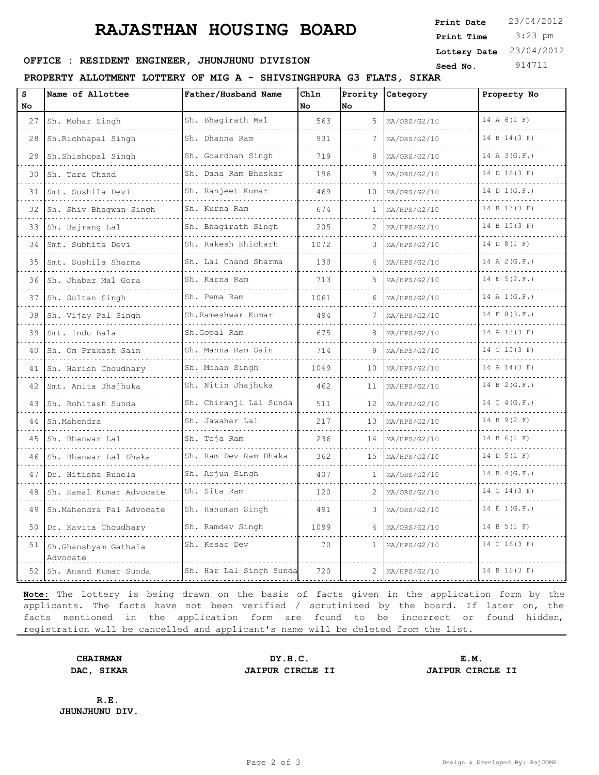# **RAJASTHAN HOUSING BOARD**

 3:23 pm **Print Date**  $23/04/2012$ **Print Time Lottery Date** 23/04/2012

## **SEED OFFICE : RESIDENT ENGINEER, JHUNJHUNU DIVISION Seed No.** 914711

### **PROPERTY ALLOTMENT LOTTERY OF MIG A - SHIVSINGHPURA G3 FLATS, SIKAR**

| S  | Name of Allottee                 | Father/Husband Name                         | Chln |    | Prority Category | Property No      |
|----|----------------------------------|---------------------------------------------|------|----|------------------|------------------|
| No |                                  |                                             | No   | No |                  |                  |
| 27 | Sh. Mohar Singh                  | Sh. Bhagirath Mal<br>.                      | 563  |    | 5 MA/ORS/G2/10   | 14 A 6(1 F)      |
| 28 | Sh.Richhapal Singh               | Sh. Dhanna Ram                              | 931  |    | MA/ORS/G2/10     | 14 B 14 (3 F)    |
| 29 | Sh.Shishupal Singh               | Sh. Goardhan Singh                          | 719  | 8  | MA/ORS/G2/10     | 14 A 3 (G.F.)    |
| 30 | Sh. Tara Chand                   | Sh. Dana Ram Bhaskar                        | 196  | 9  | MA/ORS/G2/10     | 14 D 16(3 F)     |
| 31 | Smt. Sushila Devi                | Sh. Ranjeet Kumar<br>.                      | 469  | 10 | MA/ORS/G2/10     | 14 D 1 (G.F.)    |
| 32 | Sh. Shiv Bhagwan Singh           | Sh. Kurna Ram                               | 674  | 1  | MA/HPS/G2/10     | 14 B 13(3 F)     |
| 33 | Sh. Bajrang Lal                  | Sh. Bhagirath Singh                         | 205  | 2  | MA/HPS/G2/10     | 14 B 15(3 F)     |
| 34 | Smt. Subhita Devi                | Sh. Rakesh Khicharh<br>.                    | 1072 | 3  | MA/HPS/G2/10     | 14 D 8 (1 F)     |
| 35 | Smt. Sushila Sharma              | Sh. Lal Chand Sharma                        | 130  |    | MA/HPS/G2/10     | 14 A 2 (G.F.)    |
| 36 | Sh. Jhabar Mal Gora              | Sh. Karna Ram                               | 713  | 5  | MA/HPS/G2/10     | 14 E 5(2.F.)     |
| 37 | Sh. Sultan Singh                 | Sh. Pema Ram<br>.                           | 1061 | 6  | MA/HPS/G2/10     | 14 A 1 (G.F.)    |
| 38 | Sh. Vijay Pal Singh              | Sh.Rameshwar Kumar<br>a dia dia dia dia dia | 494  | 7  | MA/HPS/G2/10     | 14 E 8(3.F.)     |
| 39 | Smt. Indu Bala                   | Sh.Gopal Ram                                | 675  |    | MA/HPS/G2/10     | 14 A 13(3 F)     |
| 40 | Sh. Om Prakash Sain              | Sh. Manna Ram Sain                          | 714  |    | MA/HPS/G2/10     | 14 C 15(3 F)     |
| 41 | Sh. Harish Choudhary             | Sh. Mohan Singh                             | 1049 | 10 | MA/HPS/G2/10     | 14 A 14(3 F)     |
| 42 | Smt. Anita Jhajhuka              | Sh. Nitin Jhajhuka                          | 462  | 11 | MA/HPS/G2/10     | 14 B $2(G.F.)$   |
| 43 | Sh. Rohitash Sunda               | Sh. Chiranji Lal Sunda                      | 511  | 12 | MA/HPS/G2/10     | 14 C 4 (G.F.)    |
| 44 | Sh.Mahendra                      | Sh. Jawahar Lal                             | 217  | 13 | MA/HPS/G2/10     | 14 B 9(2 F)      |
| 45 | Sh. Bhanwar Lal                  | Sh. Teja Ram                                | 236  | 14 | MA/HPS/G2/10     | 14 B 6 (1 F)     |
| 46 | Sh. Bhanwar Lal Dhaka            | Sh. Ram Dev Ram Dhaka<br>.                  | 362  | 15 | MA/HPS/G2/10     | 14 D 5 (1 F)     |
| 47 | Dr. Hitisha Ruhela               | Sh. Arjun Singh                             | 407  | 1  | MA/ORS/G2/10     | 14 B 4(G.F.)     |
| 48 | Sh. Kamal Kumar Advocate         | Sh. Sita Ram                                | 120  | 2  | MA/ORS/G2/10     | 14 C 14 (3 F)    |
| 49 | Sh.Mahendra Pal Advocate         | Sh. Hanuman Singh                           | 491  | 3  | MA/ORS/G2/10     | $14 \tE 1(G.F.)$ |
| 50 | Dr. Kavita Choudhary             | Sh. Ramdev Singh                            | 1099 | 4  | MA/ORS/G2/10     | 14 B 5 (1 F)     |
| 51 | Sh.Ghanshyam Gathala<br>Advocate | Sh. Kesar Dev                               | 70   | 1  | MA/HPS/G2/10     | 14 C 16(3 F)     |
| 52 | Sh. Anand Kumar Sunda            | Sh. Har Lal Singh Sunda                     | 720  |    | MA/HPS/G2/10     | 14 B 16(3 F)     |

**Note:** The lottery is being drawn on the basis of facts given in the application form by the applicants. The facts have not been verified / scrutinized by the board. If later on, the facts mentioned in the application form are found to be incorrect or found hidden, registration will be cancelled and applicant's name will be deleted from the list.

**CHAIRMAN DY.H.C. E.M. DAC, SIKAR JAIPUR CIRCLE II JAIPUR CIRCLE II**

**R.E. JHUNJHUNU DIV.**